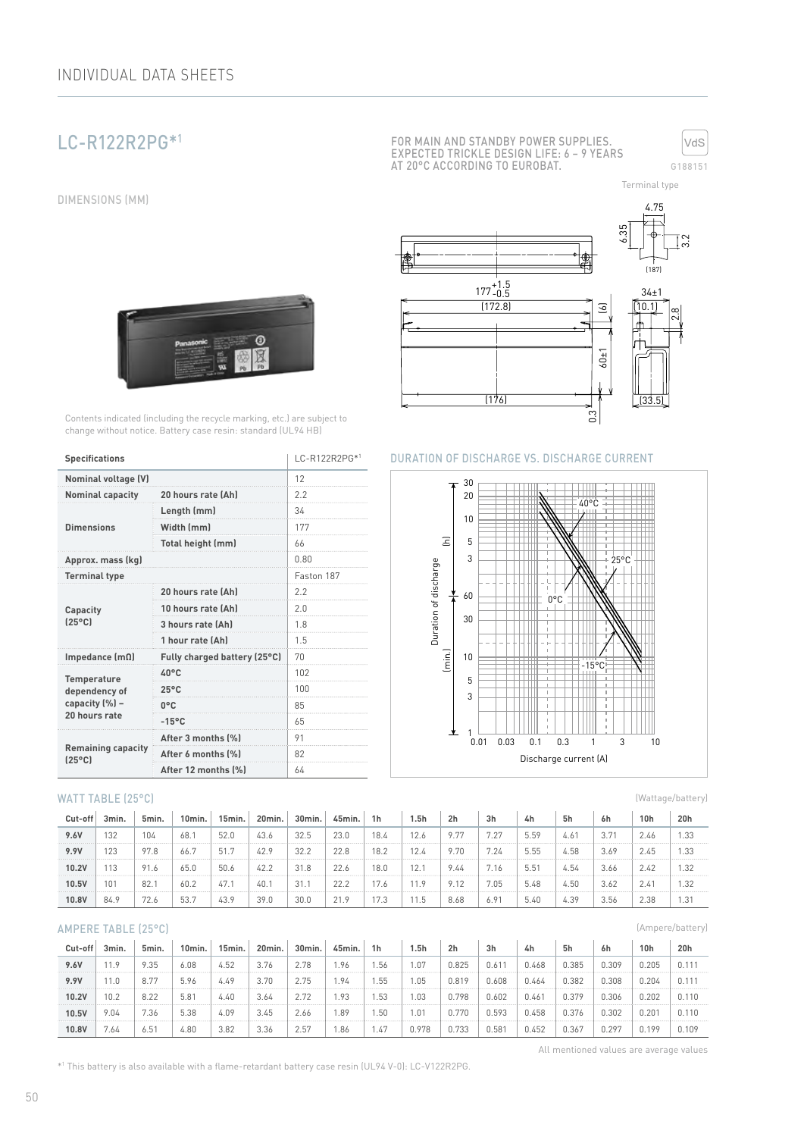# LC-R122R2PG\*1

DIMENSIONS (MM)





Terminal type

0.3 (6) (176) (172.8) (187) 4.75 6.35 3.2 .<br>2.8 177 +1.5 -0.5 60±1 34±1  $|$  (33  $\overline{10.1}$ 





### **Specifications** LC-R122R2PG\*1

| <b>Nominal voltage (V)</b>                   |                              | 12         |  |  |
|----------------------------------------------|------------------------------|------------|--|--|
| <b>Nominal capacity</b>                      | 20 hours rate (Ah)           | 2.2        |  |  |
|                                              | Length (mm)                  | 34         |  |  |
| <b>Dimensions</b>                            | Width (mm)                   | 177        |  |  |
|                                              | Total height (mm)            | 66         |  |  |
| Approx. mass (kg)                            |                              | 0.80       |  |  |
| <b>Terminal type</b>                         |                              | Faston 187 |  |  |
|                                              | 20 hours rate (Ah)           | 2.2        |  |  |
| Capacity                                     | 10 hours rate (Ah)           | 2 በ        |  |  |
| $(25^{\circ}C)$                              | 3 hours rate (Ah)            | 18         |  |  |
|                                              | 1 hour rate (Ah)             | 1.5        |  |  |
| Impedance $[mΩ]$                             | Fully charged battery (25°C) | 70         |  |  |
| <b>Temperature</b>                           | 40°C                         | 102        |  |  |
| dependency of                                | $25^{\circ}$ C               | 100        |  |  |
| capacity (%) -                               | 0°C                          | 85         |  |  |
| 20 hours rate                                | $-15^{\circ}$ C              | 65         |  |  |
|                                              | After 3 months (%)           | 91         |  |  |
| <b>Remaining capacity</b><br>$(25^{\circ}C)$ | After 6 months (%)           | 82         |  |  |
|                                              | After 12 months [%]          | 64         |  |  |

Contents indicated (including the recycle marking, etc.) are subject to change without notice. Battery case resin: standard (UL94 HB)

 $\overline{\mathbf{e}}$ 

#### WATT TABLE (25°C)

| Cut-off | 3min. | 5min. | 10min. | 15min. | 20min. | 30min. | 45min. | 1 <sub>h</sub> | 1.5h | 2 <sub>h</sub> | 3h   | 4h   | 5h   | 6h   | 10 <sub>h</sub> | 20h  |
|---------|-------|-------|--------|--------|--------|--------|--------|----------------|------|----------------|------|------|------|------|-----------------|------|
| 9.6V    | 132   | 104   | 68.    | 52.0   | 43.6   | 32.5   | 23.0   | 18.4           | 12.6 | 9.77           | 7.27 | 5.59 | 4.61 | 3.71 | 2.46            | 1.33 |
| 9.9V    | 123   | 97.8  | 66.7   | 51.7   | 42.9   | 32.2   | 22.8   | 18.2           | 12.4 | 9.70           | 7.24 | 5.55 | 4.58 | 3.69 | 2.45            | 1.33 |
| 10.2V   | 113   | 91.6  | 65.0   | 50.6   | 42.2   | 31.8   | 22.6   | 18.0           | 12.1 | 9.44           | 7.16 | 5.51 | 4.54 | 3.66 | 2.42            | 1.32 |
| 10.5V   | 101   | 82.1  | 60.2   | 47.    | 40.1   | 31.1   | 22.2   | 7.6            | 11.9 | 9.12           | 7.05 | 5.48 | 4.50 | 3.62 | 2.41            | 1.32 |
| 10.8V   | 84.9  | 72.6  | 53.7   | 43.9   | 39.0   | 30.0   | 21.9   |                | 11.5 | 8.68           | 6.91 | 5.40 | 4.39 | 3.56 | 2.38            | 1.31 |

#### AMPERE TABLE (25°C)

| Cut-off | 3min. | 5min. | 10min. | 15min. | 20min. | 30min. | 45min. | 1h   | 5h    | 2 <sub>h</sub> | 3 <sub>h</sub> | 4h    | 5h    | 6h    | 10 <sub>h</sub> | 20h   |
|---------|-------|-------|--------|--------|--------|--------|--------|------|-------|----------------|----------------|-------|-------|-------|-----------------|-------|
| 9.6V    | 11.9  | 9.35  | 6.08   | 4.52   | 3.76   | 2.78   | 1.96   | .56  | .07   | 0.825          | 0.611          | 0.468 | 0.385 | 0.309 | 0.205           | 0.111 |
| 9.9V    | 11.0  | 8.77  | 5.96   | 4.49   | 3.70   | 2.75   | 1.94   | .55  | .05   | 0.819          | 0.608          | 0.464 | 0.382 | 0.308 | 0.204           | 0.111 |
| 10.2V   | 10.2  | 8.22  | 5.81   | 4.40   | 3.64   | 2.72   | 1.93   | .53  | .03   | 0.798          | 0.602          | 0.46' | 0.379 | 0.306 | 0.202           | 0.110 |
| 10.5V   | 9.04  | 7.36  | 5.38   | 4.09   | 3.45   | 2.66   | . 89   | .50  | .01   | 0.770          | 0.593          | 0.458 | 0.376 | 0.302 | $0.20^{\circ}$  | 0.110 |
| 10.8V   | 7.64  | 6.51  | 4.80   | 3.82   | 3.36   | 2.57   | 1.86   | 1.47 | 0.978 | 0.733          | 0.581          | 0.452 | 0.367 | J.297 | 0.199           | 0.109 |

All mentioned values are average values

(Wattage/battery)

(Ampere/battery)

\*1 This battery is also available with a flame-retardant battery case resin (UL94 V-0): LC-V122R2PG.